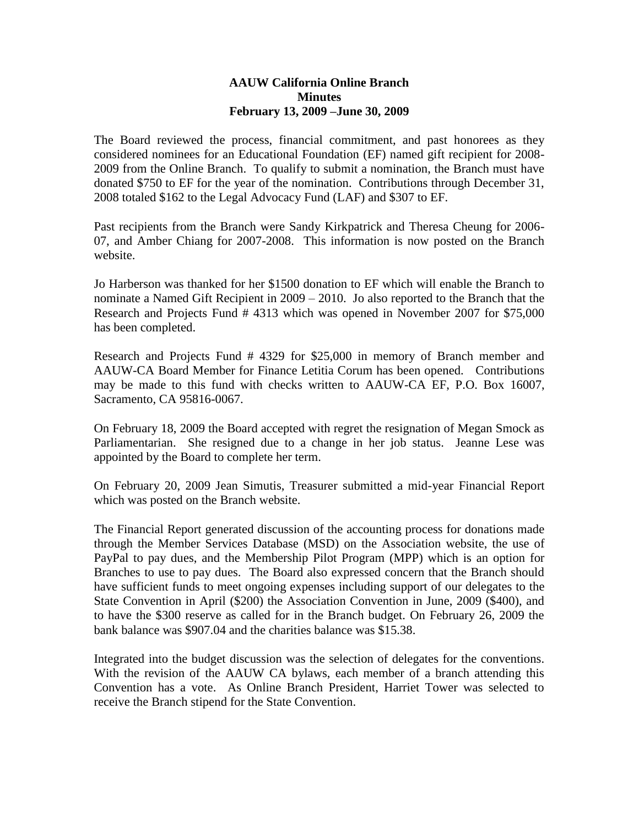## **AAUW California Online Branch Minutes February 13, 2009 –June 30, 2009**

The Board reviewed the process, financial commitment, and past honorees as they considered nominees for an Educational Foundation (EF) named gift recipient for 2008- 2009 from the Online Branch. To qualify to submit a nomination, the Branch must have donated \$750 to EF for the year of the nomination. Contributions through December 31, 2008 totaled \$162 to the Legal Advocacy Fund (LAF) and \$307 to EF.

Past recipients from the Branch were Sandy Kirkpatrick and Theresa Cheung for 2006- 07, and Amber Chiang for 2007-2008. This information is now posted on the Branch website.

Jo Harberson was thanked for her \$1500 donation to EF which will enable the Branch to nominate a Named Gift Recipient in 2009 – 2010. Jo also reported to the Branch that the Research and Projects Fund # 4313 which was opened in November 2007 for \$75,000 has been completed.

Research and Projects Fund # 4329 for \$25,000 in memory of Branch member and AAUW-CA Board Member for Finance Letitia Corum has been opened. Contributions may be made to this fund with checks written to AAUW-CA EF, P.O. Box 16007, Sacramento, CA 95816-0067.

On February 18, 2009 the Board accepted with regret the resignation of Megan Smock as Parliamentarian. She resigned due to a change in her job status. Jeanne Lese was appointed by the Board to complete her term.

On February 20, 2009 Jean Simutis, Treasurer submitted a mid-year Financial Report which was posted on the Branch website.

The Financial Report generated discussion of the accounting process for donations made through the Member Services Database (MSD) on the Association website, the use of PayPal to pay dues, and the Membership Pilot Program (MPP) which is an option for Branches to use to pay dues. The Board also expressed concern that the Branch should have sufficient funds to meet ongoing expenses including support of our delegates to the State Convention in April (\$200) the Association Convention in June, 2009 (\$400), and to have the \$300 reserve as called for in the Branch budget. On February 26, 2009 the bank balance was \$907.04 and the charities balance was \$15.38.

Integrated into the budget discussion was the selection of delegates for the conventions. With the revision of the AAUW CA bylaws, each member of a branch attending this Convention has a vote. As Online Branch President, Harriet Tower was selected to receive the Branch stipend for the State Convention.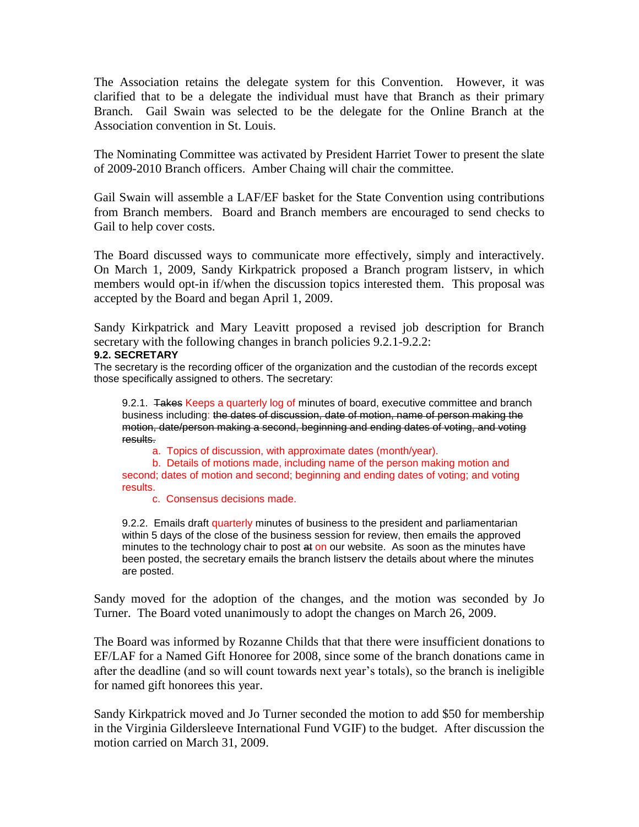The Association retains the delegate system for this Convention. However, it was clarified that to be a delegate the individual must have that Branch as their primary Branch. Gail Swain was selected to be the delegate for the Online Branch at the Association convention in St. Louis.

The Nominating Committee was activated by President Harriet Tower to present the slate of 2009-2010 Branch officers. Amber Chaing will chair the committee.

Gail Swain will assemble a LAF/EF basket for the State Convention using contributions from Branch members. Board and Branch members are encouraged to send checks to Gail to help cover costs.

The Board discussed ways to communicate more effectively, simply and interactively. On March 1, 2009, Sandy Kirkpatrick proposed a Branch program listserv, in which members would opt-in if/when the discussion topics interested them. This proposal was accepted by the Board and began April 1, 2009.

Sandy Kirkpatrick and Mary Leavitt proposed a revised job description for Branch secretary with the following changes in branch policies 9.2.1-9.2.2:

## **9.2. SECRETARY**

The secretary is the recording officer of the organization and the custodian of the records except those specifically assigned to others. The secretary:

9.2.1. Takes Keeps a quarterly log of minutes of board, executive committee and branch business including: the dates of discussion, date of motion, name of person making the motion, date/person making a second, beginning and ending dates of voting, and voting results.

a. Topics of discussion, with approximate dates (month/year).

b. Details of motions made, including name of the person making motion and second; dates of motion and second; beginning and ending dates of voting; and voting results.

c. Consensus decisions made.

9.2.2. Emails draft quarterly minutes of business to the president and parliamentarian within 5 days of the close of the business session for review, then emails the approved minutes to the technology chair to post at on our website. As soon as the minutes have been posted, the secretary emails the branch listserv the details about where the minutes are posted.

Sandy moved for the adoption of the changes, and the motion was seconded by Jo Turner. The Board voted unanimously to adopt the changes on March 26, 2009.

The Board was informed by Rozanne Childs that that there were insufficient donations to EF/LAF for a Named Gift Honoree for 2008, since some of the branch donations came in after the deadline (and so will count towards next year's totals), so the branch is ineligible for named gift honorees this year.

Sandy Kirkpatrick moved and Jo Turner seconded the motion to add \$50 for membership in the Virginia Gildersleeve International Fund VGIF) to the budget. After discussion the motion carried on March 31, 2009.